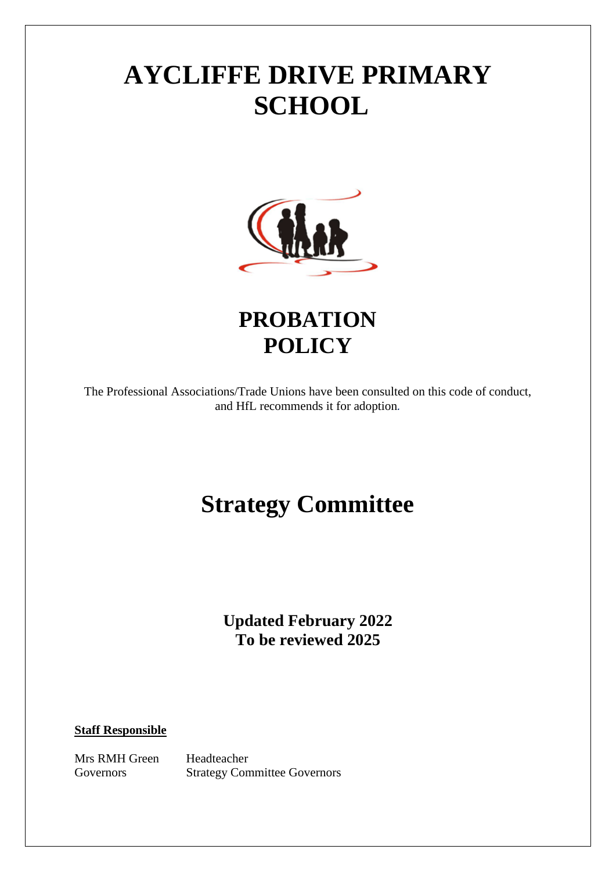# **AYCLIFFE DRIVE PRIMARY SCHOOL**



**PROBATION POLICY**

The Professional Associations/Trade Unions have been consulted on this code of conduct, and HfL recommends it for adoption*.*

## **Strategy Committee**

**Updated February 2022 To be reviewed 2025**

### **Staff Responsible**

Mrs RMH Green Headteacher Governors Strategy Committee Governors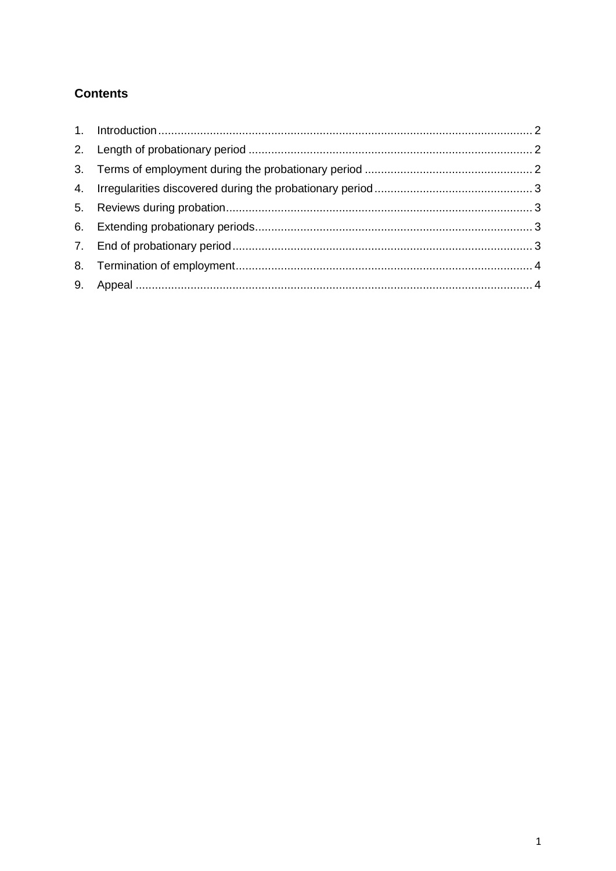### **Contents**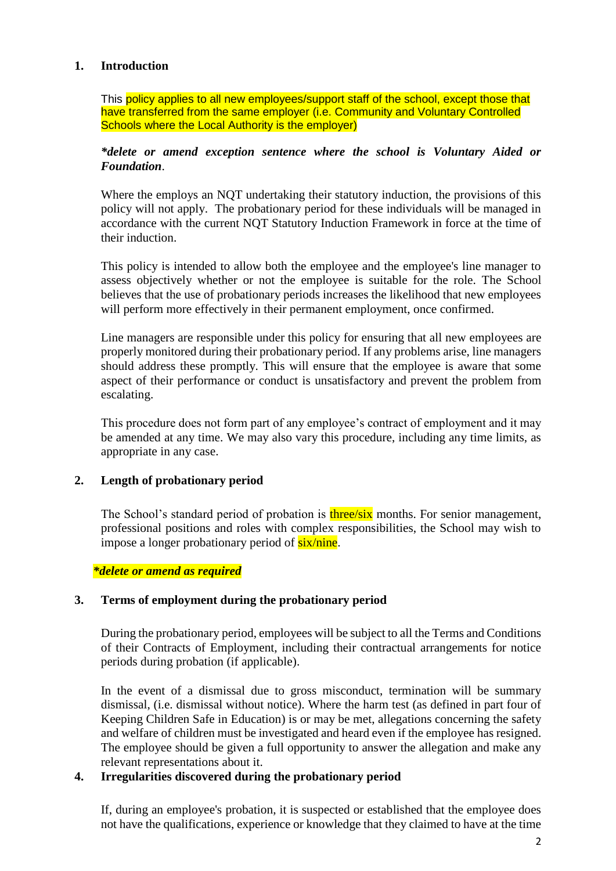### <span id="page-2-0"></span>**1. Introduction**

This policy applies to all new employees/support staff of the school, except those that have transferred from the same employer (i.e. Community and Voluntary Controlled Schools where the Local Authority is the employer)

#### *\*delete or amend exception sentence where the school is Voluntary Aided or Foundation*.

Where the employs an NQT undertaking their statutory induction, the provisions of this policy will not apply. The probationary period for these individuals will be managed in accordance with the current NQT Statutory Induction Framework in force at the time of their induction.

This policy is intended to allow both the employee and the employee's line manager to assess objectively whether or not the employee is suitable for the role. The School believes that the use of probationary periods increases the likelihood that new employees will perform more effectively in their permanent employment, once confirmed.

Line managers are responsible under this policy for ensuring that all new employees are properly monitored during their probationary period. If any problems arise, line managers should address these promptly. This will ensure that the employee is aware that some aspect of their performance or conduct is unsatisfactory and prevent the problem from escalating.

This procedure does not form part of any employee's contract of employment and it may be amended at any time. We may also vary this procedure, including any time limits, as appropriate in any case.

### <span id="page-2-1"></span>**2. Length of probationary period**

The School's standard period of probation is three/six months. For senior management, professional positions and roles with complex responsibilities, the School may wish to impose a longer probationary period of  $six/nine$ .

*\*delete or amend as required*

#### <span id="page-2-2"></span>**3. Terms of employment during the probationary period**

During the probationary period, employees will be subject to all the Terms and Conditions of their Contracts of Employment, including their contractual arrangements for notice periods during probation (if applicable).

In the event of a dismissal due to gross misconduct, termination will be summary dismissal, (i.e. dismissal without notice). Where the harm test (as defined in part four of [Keeping Children Safe in Education\)](https://www.gov.uk/government/publications/keeping-children-safe-in-education--2) is or may be met, allegations concerning the safety and welfare of children must be investigated and heard even if the employee has resigned. The employee should be given a full opportunity to answer the allegation and make any relevant representations about it.

### <span id="page-2-3"></span>**4. Irregularities discovered during the probationary period**

If, during an employee's probation, it is suspected or established that the employee does not have the qualifications, experience or knowledge that they claimed to have at the time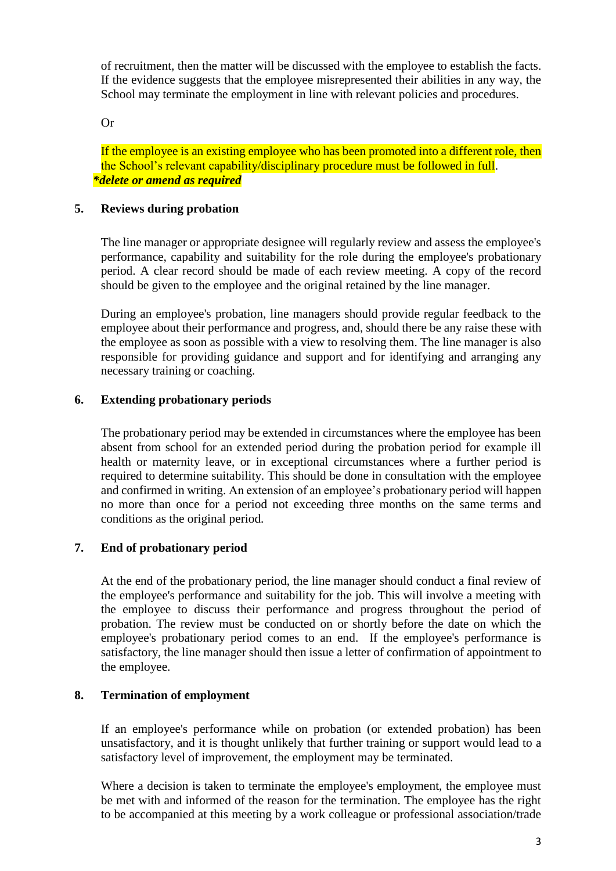of recruitment, then the matter will be discussed with the employee to establish the facts. If the evidence suggests that the employee misrepresented their abilities in any way, the School may terminate the employment in line with relevant policies and procedures.

Or

If the employee is an existing employee who has been promoted into a different role, then the School's relevant capability/disciplinary procedure must be followed in full. *\*delete or amend as required*

### <span id="page-3-0"></span>**5. Reviews during probation**

The line manager or appropriate designee will regularly review and assess the employee's performance, capability and suitability for the role during the employee's probationary period. A clear record should be made of each review meeting. A copy of the record should be given to the employee and the original retained by the line manager.

During an employee's probation, line managers should provide regular feedback to the employee about their performance and progress, and, should there be any raise these with the employee as soon as possible with a view to resolving them. The line manager is also responsible for providing guidance and support and for identifying and arranging any necessary training or coaching.

### <span id="page-3-1"></span>**6. Extending probationary periods**

The probationary period may be extended in circumstances where the employee has been absent from school for an extended period during the probation period for example ill health or maternity leave, or in exceptional circumstances where a further period is required to determine suitability. This should be done in consultation with the employee and confirmed in writing. An extension of an employee's probationary period will happen no more than once for a period not exceeding three months on the same terms and conditions as the original period.

### <span id="page-3-2"></span>**7. End of probationary period**

At the end of the probationary period, the line manager should conduct a final review of the employee's performance and suitability for the job. This will involve a meeting with the employee to discuss their performance and progress throughout the period of probation. The review must be conducted on or shortly before the date on which the employee's probationary period comes to an end. If the employee's performance is satisfactory, the line manager should then issue a letter of confirmation of appointment to the employee.

### <span id="page-3-3"></span>**8. Termination of employment**

If an employee's performance while on probation (or extended probation) has been unsatisfactory, and it is thought unlikely that further training or support would lead to a satisfactory level of improvement, the employment may be terminated.

Where a decision is taken to terminate the employee's employment, the employee must be met with and informed of the reason for the termination. The employee has the right to be accompanied at this meeting by a work colleague or professional association/trade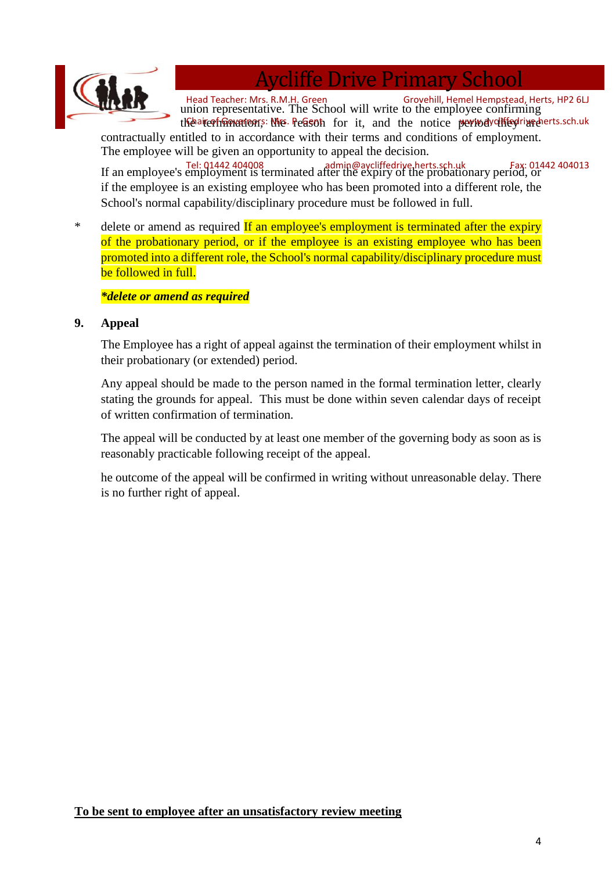

### Aycliffe Drive Primary School

Head Teacher: Mrs. R.M.H. Green Grovehill, Hemel Hempstead, Herts, HP2 6LJ<br>union representative. The School will write to the employee confirming the aircorficion ware on still the reason for it, and the notice perived diffed rive dents sch.uk

contractually entitled to in accordance with their terms and conditions of employment. The employee will be given an opportunity to appeal the decision.

If an employee's employment is terminated after the expiry of the probationary period, or Tel: 01442 404008 admin@aycliffedrive.herts.sch.uk Fax: 01442 404013if the employee is an existing employee who has been promoted into a different role, the School's normal capability/disciplinary procedure must be followed in full.

<sup>\*</sup> delete or amend as required If an employee's employment is terminated after the expiry of the probationary period, or if the employee is an existing employee who has been promoted into a different role, the School's normal capability/disciplinary procedure must be followed in full.

### *\*delete or amend as required*

### <span id="page-4-0"></span>**9. Appeal**

The Employee has a right of appeal against the termination of their employment whilst in their probationary (or extended) period.

Any appeal should be made to the person named in the formal termination letter, clearly stating the grounds for appeal. This must be done within seven calendar days of receipt of written confirmation of termination.

The appeal will be conducted by at least one member of the governing body as soon as is reasonably practicable following receipt of the appeal.

he outcome of the appeal will be confirmed in writing without unreasonable delay. There is no further right of appeal.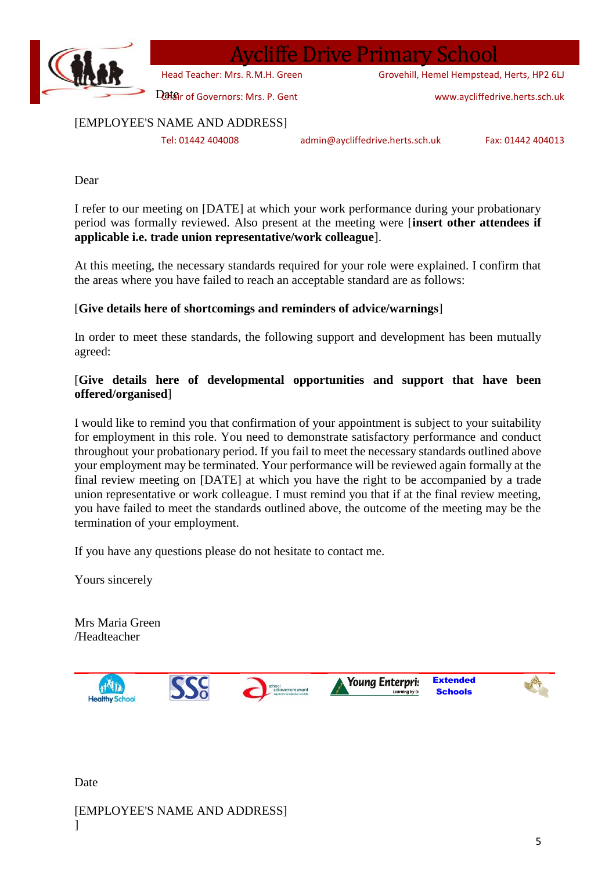

### Aycliffe Drive Primary School

Grovehill, Hemel Hempstead, Herts, HP2 6LJ

Datair of Governors: Mrs. P. Gent Head Teacher: Mrs. R.M.H. Green

www.aycliffedrive.herts.sch.uk

[EMPLOYEE'S NAME AND ADDRESS]

Tel: 01442 404008 admin@aycliffedrive.herts.sch.uk Fax: 01442 404013

Dear

I refer to our meeting on [DATE] at which your work performance during your probationary period was formally reviewed. Also present at the meeting were [**insert other attendees if applicable i.e. trade union representative/work colleague**].

At this meeting, the necessary standards required for your role were explained. I confirm that the areas where you have failed to reach an acceptable standard are as follows:

### [**Give details here of shortcomings and reminders of advice/warnings**]

In order to meet these standards, the following support and development has been mutually agreed:

### [**Give details here of developmental opportunities and support that have been offered/organised**]

I would like to remind you that confirmation of your appointment is subject to your suitability for employment in this role. You need to demonstrate satisfactory performance and conduct throughout your probationary period. If you fail to meet the necessary standards outlined above your employment may be terminated. Your performance will be reviewed again formally at the final review meeting on [DATE] at which you have the right to be accompanied by a trade union representative or work colleague. I must remind you that if at the final review meeting, you have failed to meet the standards outlined above, the outcome of the meeting may be the termination of your employment.

If you have any questions please do not hesitate to contact me.

Yours sincerely

Mrs Maria Green /Headteacher



Date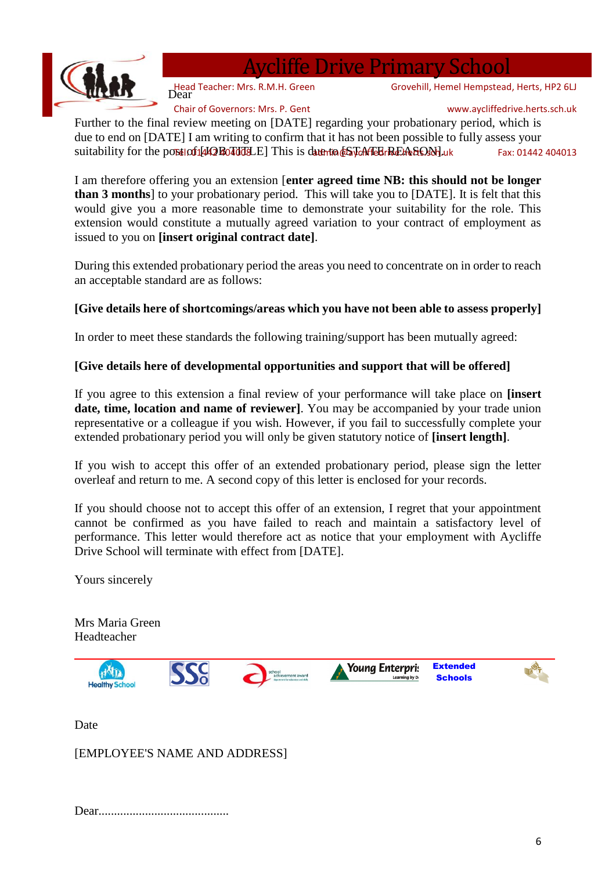

Aycliffe Drive Primary School

Head Teacher: Mrs. R.M.H. Green<br>Dear

Chair of Governors: Mrs. P. Gent

www.aycliffedrive.herts.sch.uk

Grovehill, Hemel Hempstead, Herts, HP2 6LJ

Further to the final review meeting on [DATE] regarding your probationary period, which is due to end on [DATE] I am writing to confirm that it has not been possible to fully assess your suitability for the port of 1442Bo TddLE This is due to  $6$ ST CAFIEL REASONE uk Fax: 01442 404013

I am therefore offering you an extension [**enter agreed time NB: this should not be longer than 3 months**] to your probationary period. This will take you to [DATE]. It is felt that this would give you a more reasonable time to demonstrate your suitability for the role. This extension would constitute a mutually agreed variation to your contract of employment as issued to you on **[insert original contract date]**.

During this extended probationary period the areas you need to concentrate on in order to reach an acceptable standard are as follows:

### **[Give details here of shortcomings/areas which you have not been able to assess properly]**

In order to meet these standards the following training/support has been mutually agreed:

### **[Give details here of developmental opportunities and support that will be offered]**

If you agree to this extension a final review of your performance will take place on **[insert date, time, location and name of reviewer]**. You may be accompanied by your trade union representative or a colleague if you wish. However, if you fail to successfully complete your extended probationary period you will only be given statutory notice of **[insert length]**.

If you wish to accept this offer of an extended probationary period, please sign the letter overleaf and return to me. A second copy of this letter is enclosed for your records.

If you should choose not to accept this offer of an extension, I regret that your appointment cannot be confirmed as you have failed to reach and maintain a satisfactory level of performance. This letter would therefore act as notice that your employment with Aycliffe Drive School will terminate with effect from [DATE].

Yours sincerely

Mrs Maria Green Headteacher



Date

[EMPLOYEE'S NAME AND ADDRESS]

|--|--|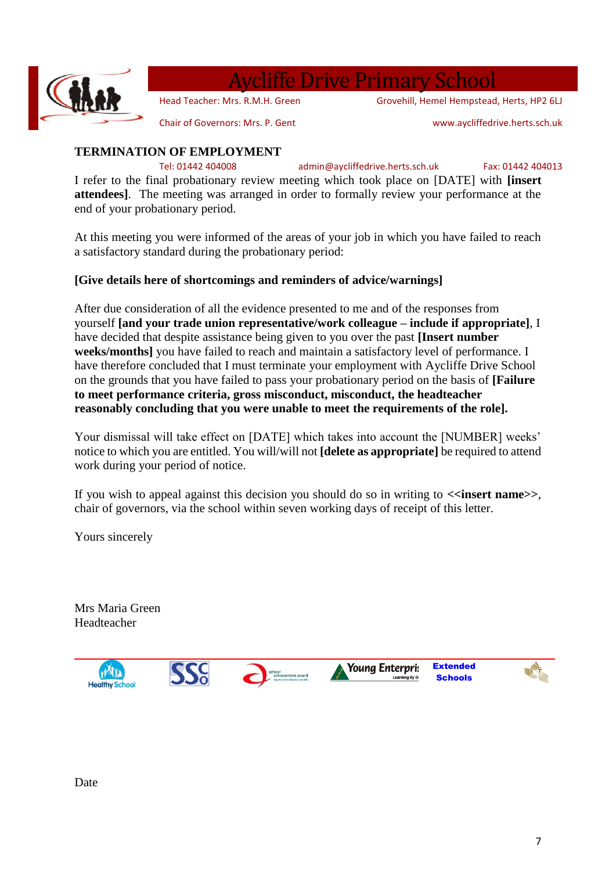

### vcliffe Drive Primary School

Head Teacher: Mrs. R.M.H. Green

Grovehill, Hemel Hempstead, Herts, HP2 6LJ

Chair of Governors: Mrs. P. Gent

www.aycliffedrive.herts.sch.uk

### **TERMINATION OF EMPLOYMENT**

Tel: 01442 404008 admin@aycliffedrive.herts.sch.uk Fax: 01442 404013

I refer to the final probationary review meeting which took place on [DATE] with **[insert attendees]**. The meeting was arranged in order to formally review your performance at the end of your probationary period.

At this meeting you were informed of the areas of your job in which you have failed to reach a satisfactory standard during the probationary period:

### **[Give details here of shortcomings and reminders of advice/warnings]**

After due consideration of all the evidence presented to me and of the responses from yourself **[and your trade union representative/work colleague – include if appropriate]**, I have decided that despite assistance being given to you over the past **[Insert number weeks/months]** you have failed to reach and maintain a satisfactory level of performance. I have therefore concluded that I must terminate your employment with Aycliffe Drive School on the grounds that you have failed to pass your probationary period on the basis of **[Failure to meet performance criteria, gross misconduct, misconduct, the headteacher reasonably concluding that you were unable to meet the requirements of the role].**

Your dismissal will take effect on [DATE] which takes into account the [NUMBER] weeks' notice to which you are entitled. You will/will not **[delete as appropriate]** be required to attend work during your period of notice.

If you wish to appeal against this decision you should do so in writing to  $\le$  insert name>>, chair of governors, via the school within seven working days of receipt of this letter.

Yours sincerely

Mrs Maria Green Headteacher